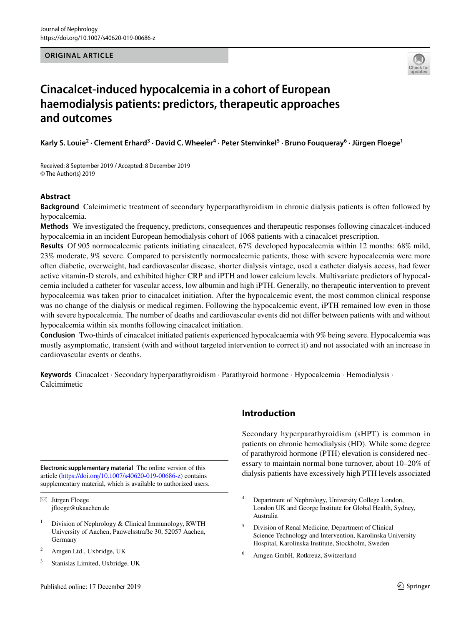#### **ORIGINAL ARTICLE**



# **Cinacalcet‑induced hypocalcemia in a cohort of European haemodialysis patients: predictors, therapeutic approaches and outcomes**

Karly S. Louie<sup>2</sup> • Clement Erhard<sup>3</sup> • David C. Wheeler<sup>4</sup> • Peter Stenvinkel<sup>5</sup> • Bruno Fouqueray<sup>6</sup> • Jürgen Floege<sup>1</sup>

Received: 8 September 2019 / Accepted: 8 December 2019 © The Author(s) 2019

## **Abstract**

**Background** Calcimimetic treatment of secondary hyperparathyroidism in chronic dialysis patients is often followed by hypocalcemia.

**Methods** We investigated the frequency, predictors, consequences and therapeutic responses following cinacalcet-induced hypocalcemia in an incident European hemodialysis cohort of 1068 patients with a cinacalcet prescription.

**Results** Of 905 normocalcemic patients initiating cinacalcet, 67% developed hypocalcemia within 12 months: 68% mild, 23% moderate, 9% severe. Compared to persistently normocalcemic patients, those with severe hypocalcemia were more often diabetic, overweight, had cardiovascular disease, shorter dialysis vintage, used a catheter dialysis access, had fewer active vitamin-D sterols, and exhibited higher CRP and iPTH and lower calcium levels. Multivariate predictors of hypocalcemia included a catheter for vascular access, low albumin and high iPTH. Generally, no therapeutic intervention to prevent hypocalcemia was taken prior to cinacalcet initiation. After the hypocalcemic event, the most common clinical response was no change of the dialysis or medical regimen. Following the hypocalcemic event, iPTH remained low even in those with severe hypocalcemia. The number of deaths and cardiovascular events did not difer between patients with and without hypocalcemia within six months following cinacalcet initiation.

**Conclusion** Two-thirds of cinacalcet initiated patients experienced hypocalcaemia with 9% being severe. Hypocalcemia was mostly asymptomatic, transient (with and without targeted intervention to correct it) and not associated with an increase in cardiovascular events or deaths.

**Keywords** Cinacalcet · Secondary hyperparathyroidism · Parathyroid hormone · Hypocalcemia · Hemodialysis · Calcimimetic

article [\(https://doi.org/10.1007/s40620-019-00686-z](https://doi.org/10.1007/s40620-019-00686-z)) contains supplementary material, which is available to authorized users.

 $\boxtimes$  Jürgen Floege jfoege@ukaachen.de

- <sup>1</sup> Division of Nephrology & Clinical Immunology, RWTH University of Aachen, Pauwelsstraẞe 30, 52057 Aachen, Germany
- <sup>2</sup> Amgen Ltd., Uxbridge, UK
- <sup>3</sup> Stanislas Limited, Uxbridge, UK

# **Introduction**

Secondary hyperparathyroidism (sHPT) is common in patients on chronic hemodialysis (HD). While some degree of parathyroid hormone (PTH) elevation is considered necessary to maintain normal bone turnover, about 10–20% of Electronic supplementary material The online version of this<br>article (bttps://doi.org/10.1007/s40620-019-00686-z) contains dialysis patients have excessively high PTH levels associated

- <sup>5</sup> Division of Renal Medicine, Department of Clinical Science Technology and Intervention, Karolinska University Hospital, Karolinska Institute, Stockholm, Sweden
- <sup>6</sup> Amgen GmbH, Rotkreuz, Switzerland

Department of Nephrology, University College London, London UK and George Institute for Global Health, Sydney, Australia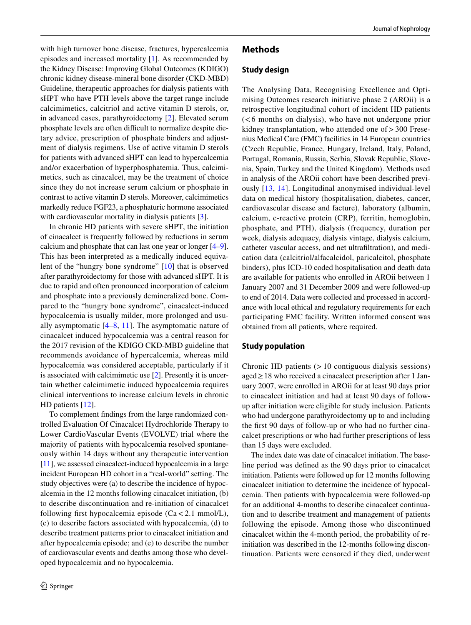with high turnover bone disease, fractures, hypercalcemia episodes and increased mortality [\[1](#page-12-0)]. As recommended by the Kidney Disease: Improving Global Outcomes (KDIGO) chronic kidney disease-mineral bone disorder (CKD-MBD) Guideline, therapeutic approaches for dialysis patients with sHPT who have PTH levels above the target range include calcimimetics, calcitriol and active vitamin D sterols, or, in advanced cases, parathyroidectomy [\[2](#page-12-1)]. Elevated serum phosphate levels are often difficult to normalize despite dietary advice, prescription of phosphate binders and adjustment of dialysis regimens. Use of active vitamin D sterols for patients with advanced sHPT can lead to hypercalcemia and/or exacerbation of hyperphosphatemia. Thus, calcimimetics, such as cinacalcet, may be the treatment of choice since they do not increase serum calcium or phosphate in contrast to active vitamin D sterols. Moreover, calcimimetics markedly reduce FGF23, a phosphaturic hormone associated with cardiovascular mortality in dialysis patients [[3](#page-12-2)].

In chronic HD patients with severe sHPT, the initiation of cinacalcet is frequently followed by reductions in serum calcium and phosphate that can last one year or longer [[4](#page-12-3)[–9](#page-13-0)]. This has been interpreted as a medically induced equivalent of the "hungry bone syndrome" [\[10\]](#page-13-1) that is observed after parathyroidectomy for those with advanced sHPT. It is due to rapid and often pronounced incorporation of calcium and phosphate into a previously demineralized bone. Compared to the "hungry bone syndrome", cinacalcet-induced hypocalcemia is usually milder, more prolonged and usually asymptomatic  $[4–8, 11]$  $[4–8, 11]$  $[4–8, 11]$  $[4–8, 11]$  $[4–8, 11]$  $[4–8, 11]$ . The asymptomatic nature of cinacalcet induced hypocalcemia was a central reason for the 2017 revision of the KDIGO CKD-MBD guideline that recommends avoidance of hypercalcemia, whereas mild hypocalcemia was considered acceptable, particularly if it is associated with calcimimetic use [\[2](#page-12-1)]. Presently it is uncertain whether calcimimetic induced hypocalcemia requires clinical interventions to increase calcium levels in chronic HD patients [\[12](#page-13-4)].

To complement fndings from the large randomized controlled Evaluation Of Cinacalcet Hydrochloride Therapy to Lower CardioVascular Events (EVOLVE) trial where the majority of patients with hypocalcemia resolved spontaneously within 14 days without any therapeutic intervention [\[11](#page-13-3)], we assessed cinacalcet-induced hypocalcemia in a large incident European HD cohort in a "real-world" setting. The study objectives were (a) to describe the incidence of hypocalcemia in the 12 months following cinacalcet initiation, (b) to describe discontinuation and re-initiation of cinacalcet following first hypocalcemia episode  $(Ca < 2.1 \text{ mmol/L})$ , (c) to describe factors associated with hypocalcemia, (d) to describe treatment patterns prior to cinacalcet initiation and after hypocalcemia episode; and (e) to describe the number of cardiovascular events and deaths among those who developed hypocalcemia and no hypocalcemia.

## **Methods**

## **Study design**

The Analysing Data, Recognising Excellence and Optimising Outcomes research initiative phase 2 (AROii) is a retrospective longitudinal cohort of incident HD patients (<6 months on dialysis), who have not undergone prior kidney transplantation, who attended one of > 300 Fresenius Medical Care (FMC) facilities in 14 European countries (Czech Republic, France, Hungary, Ireland, Italy, Poland, Portugal, Romania, Russia, Serbia, Slovak Republic, Slovenia, Spain, Turkey and the United Kingdom). Methods used in analysis of the AROii cohort have been described previously [[13](#page-13-5), [14](#page-13-6)]. Longitudinal anonymised individual-level data on medical history (hospitalisation, diabetes, cancer, cardiovascular disease and facture), laboratory (albumin, calcium, c-reactive protein (CRP), ferritin, hemoglobin, phosphate, and PTH), dialysis (frequency, duration per week, dialysis adequacy, dialysis vintage, dialysis calcium, catheter vascular access, and net ultrafltration), and medication data (calcitriol/alfacalcidol, paricalcitol, phosphate binders), plus ICD-10 coded hospitalisation and death data are available for patients who enrolled in AROii between 1 January 2007 and 31 December 2009 and were followed-up to end of 2014. Data were collected and processed in accordance with local ethical and regulatory requirements for each participating FMC facility. Written informed consent was obtained from all patients, where required.

## **Study population**

Chronic HD patients  $(>10$  contiguous dialysis sessions) aged≥18 who received a cinacalcet prescription after 1 January 2007, were enrolled in AROii for at least 90 days prior to cinacalcet initiation and had at least 90 days of followup after initiation were eligible for study inclusion. Patients who had undergone parathyroidectomy up to and including the frst 90 days of follow-up or who had no further cinacalcet prescriptions or who had further prescriptions of less than 15 days were excluded.

The index date was date of cinacalcet initiation. The baseline period was defned as the 90 days prior to cinacalcet initiation. Patients were followed up for 12 months following cinacalcet initiation to determine the incidence of hypocalcemia. Then patients with hypocalcemia were followed-up for an additional 4-months to describe cinacalcet continuation and to describe treatment and management of patients following the episode. Among those who discontinued cinacalcet within the 4-month period, the probability of reinitiation was described in the 12-months following discontinuation. Patients were censored if they died, underwent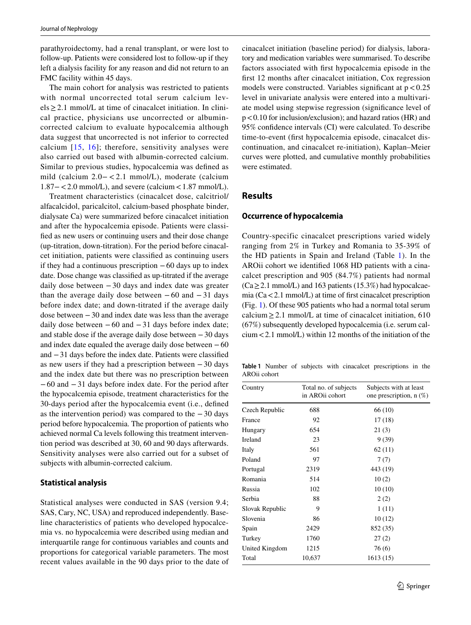parathyroidectomy, had a renal transplant, or were lost to follow-up. Patients were considered lost to follow-up if they left a dialysis facility for any reason and did not return to an FMC facility within 45 days.

The main cohort for analysis was restricted to patients with normal uncorrected total serum calcium levels≥2.1 mmol/L at time of cinacalcet initiation. In clinical practice, physicians use uncorrected or albumincorrected calcium to evaluate hypocalcemia although data suggest that uncorrected is not inferior to corrected calcium  $[15, 16]$  $[15, 16]$  $[15, 16]$  $[15, 16]$ ; therefore, sensitivity analyses were also carried out based with albumin-corrected calcium. Similar to previous studies, hypocalcemia was defned as mild (calcium 2.0− < 2.1 mmol/L), moderate (calcium 1.87−<2.0 mmol/L), and severe (calcium<1.87 mmol/L).

Treatment characteristics (cinacalcet dose, calcitriol/ alfacalcidol, paricalcitol, calcium-based phosphate binder, dialysate Ca) were summarized before cinacalcet initiation and after the hypocalcemia episode. Patients were classifed as new users or continuing users and their dose change (up-titration, down-titration). For the period before cinacalcet initiation, patients were classifed as continuing users if they had a continuous prescription  $-60$  days up to index date. Dose change was classifed as up-titrated if the average daily dose between −30 days and index date was greater than the average daily dose between  $-60$  and  $-31$  days before index date; and down-titrated if the average daily dose between −30 and index date was less than the average daily dose between  $-60$  and  $-31$  days before index date; and stable dose if the average daily dose between −30 days and index date equaled the average daily dose between −60 and −31 days before the index date. Patients were classifed as new users if they had a prescription between −30 days and the index date but there was no prescription between −60 and −31 days before index date. For the period after the hypocalcemia episode, treatment characteristics for the 30-days period after the hypocalcemia event (i.e., defned as the intervention period) was compared to the −30 days period before hypocalcemia. The proportion of patients who achieved normal Ca levels following this treatment intervention period was described at 30, 60 and 90 days afterwards. Sensitivity analyses were also carried out for a subset of subjects with albumin-corrected calcium.

#### **Statistical analysis**

Statistical analyses were conducted in SAS (version 9.4; SAS, Cary, NC, USA) and reproduced independently. Baseline characteristics of patients who developed hypocalcemia vs. no hypocalcemia were described using median and interquartile range for continuous variables and counts and proportions for categorical variable parameters. The most recent values available in the 90 days prior to the date of cinacalcet initiation (baseline period) for dialysis, laboratory and medication variables were summarised. To describe factors associated with frst hypocalcemia episode in the frst 12 months after cinacalcet initiation, Cox regression models were constructed. Variables significant at  $p < 0.25$ level in univariate analysis were entered into a multivariate model using stepwise regression (signifcance level of p<0.10 for inclusion/exclusion); and hazard ratios (HR) and 95% confdence intervals (CI) were calculated. To describe time-to-event (frst hypocalcemia episode, cinacalcet discontinuation, and cinacalcet re-initiation), Kaplan–Meier curves were plotted, and cumulative monthly probabilities were estimated.

## **Results**

#### **Occurrence of hypocalcemia**

Country-specific cinacalcet prescriptions varied widely ranging from 2% in Turkey and Romania to 35-39% of the HD patients in Spain and Ireland (Table [1\)](#page-2-0). In the AROii cohort we identifed 1068 HD patients with a cinacalcet prescription and 905 (84.7%) patients had normal  $(Ca > 2.1$  mmol/L) and 163 patients (15.3%) had hypocalcaemia  $(Ca < 2.1$  mmol/L) at time of first cinacalcet prescription (Fig. [1](#page-3-0)). Of these 905 patients who had a normal total serum calcium  $\geq$  2.1 mmol/L at time of cinacalcet initiation, 610 (67%) subsequently developed hypocalcemia (i.e. serum calcium<2.1 mmol/L) within 12 months of the initiation of the

<span id="page-2-0"></span>**Table 1** Number of subjects with cinacalcet prescriptions in the AROii cohort

| Country         | Total no. of subjects<br>in AROii cohort | Subjects with at least<br>one prescription, $n$ $(\%)$ |  |  |
|-----------------|------------------------------------------|--------------------------------------------------------|--|--|
| Czech Republic  | 688                                      | 66 (10)                                                |  |  |
| France          | 92                                       | 17(18)                                                 |  |  |
| Hungary         | 654                                      | 21(3)                                                  |  |  |
| Ireland         | 23                                       | 9 (39)                                                 |  |  |
| Italy           | 561                                      | 62(11)                                                 |  |  |
| Poland          | 97                                       | 7(7)                                                   |  |  |
| Portugal        | 2319                                     | 443 (19)                                               |  |  |
| Romania         | 514                                      | 10(2)                                                  |  |  |
| Russia          | 102                                      | 10(10)                                                 |  |  |
| Serbia          | 88                                       | 2(2)                                                   |  |  |
| Slovak Republic | 9                                        | 1(11)                                                  |  |  |
| Slovenia        | 86                                       | 10(12)                                                 |  |  |
| Spain           | 2429                                     | 852 (35)                                               |  |  |
| Turkey          | 1760                                     | 27(2)                                                  |  |  |
| United Kingdom  | 1215                                     | 76(6)                                                  |  |  |
| Total           | 10,637                                   | 1613 (15)                                              |  |  |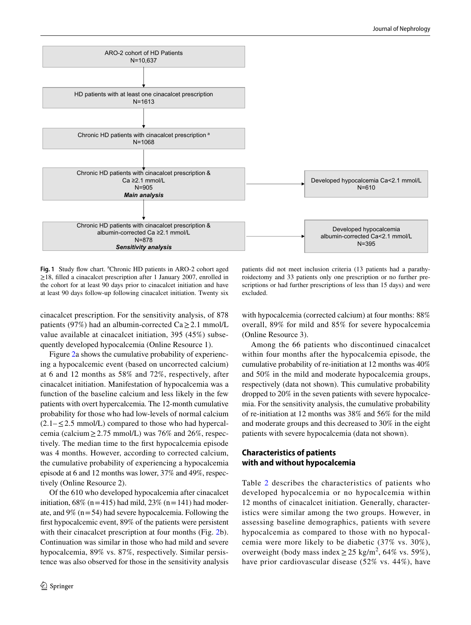

<span id="page-3-0"></span>Fig. 1 Study flow chart. <sup>a</sup>Chronic HD patients in ARO-2 cohort aged ≥18, flled a cinacalcet prescription after 1 January 2007, enrolled in the cohort for at least 90 days prior to cinacalcet initiation and have at least 90 days follow-up following cinacalcet initiation. Twenty six

cinacalcet prescription. For the sensitivity analysis, of 878 patients (97%) had an albumin-corrected Ca $\geq$ 2.1 mmol/L value available at cinacalcet initiation, 395 (45%) subsequently developed hypocalcemia (Online Resource 1).

Figure [2a](#page-4-0) shows the cumulative probability of experiencing a hypocalcemic event (based on uncorrected calcium) at 6 and 12 months as 58% and 72%, respectively, after cinacalcet initiation. Manifestation of hypocalcemia was a function of the baseline calcium and less likely in the few patients with overt hypercalcemia. The 12-month cumulative probability for those who had low-levels of normal calcium  $(2.1 - \leq 2.5 \text{ mmol/L})$  compared to those who had hypercalcemia (calcium  $\geq$  2.75 mmol/L) was 76% and 26%, respectively. The median time to the frst hypocalcemia episode was 4 months. However, according to corrected calcium, the cumulative probability of experiencing a hypocalcemia episode at 6 and 12 months was lower, 37% and 49%, respectively (Online Resource 2).

Of the 610 who developed hypocalcemia after cinacalcet initiation,  $68\%$  (n=415) had mild,  $23\%$  (n=141) had moderate, and  $9\%$  (n = 54) had severe hypocalcemia. Following the frst hypocalcemic event, 89% of the patients were persistent with their cinacalcet prescription at four months (Fig. [2](#page-4-0)b). Continuation was similar in those who had mild and severe hypocalcemia, 89% vs. 87%, respectively. Similar persistence was also observed for those in the sensitivity analysis

patients did not meet inclusion criteria (13 patients had a parathyroidectomy and 33 patients only one prescription or no further prescriptions or had further prescriptions of less than 15 days) and were excluded.

with hypocalcemia (corrected calcium) at four months: 88% overall, 89% for mild and 85% for severe hypocalcemia (Online Resource 3).

Among the 66 patients who discontinued cinacalcet within four months after the hypocalcemia episode, the cumulative probability of re-initiation at 12 months was 40% and 50% in the mild and moderate hypocalcemia groups, respectively (data not shown). This cumulative probability dropped to 20% in the seven patients with severe hypocalcemia. For the sensitivity analysis, the cumulative probability of re-initiation at 12 months was 38% and 56% for the mild and moderate groups and this decreased to 30% in the eight patients with severe hypocalcemia (data not shown).

## **Characteristics of patients with and without hypocalcemia**

Table [2](#page-5-0) describes the characteristics of patients who developed hypocalcemia or no hypocalcemia within 12 months of cinacalcet initiation. Generally, characteristics were similar among the two groups. However, in assessing baseline demographics, patients with severe hypocalcemia as compared to those with no hypocalcemia were more likely to be diabetic (37% vs. 30%), overweight (body mass index  $\geq$  25 kg/m<sup>2</sup>, 64% vs. 59%), have prior cardiovascular disease (52% vs. 44%), have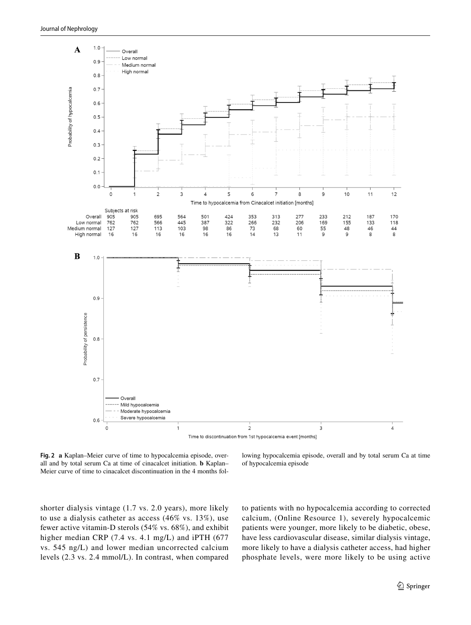

<span id="page-4-0"></span>**Fig. 2 a** Kaplan–Meier curve of time to hypocalcemia episode, overall and by total serum Ca at time of cinacalcet initiation. **b** Kaplan– Meier curve of time to cinacalcet discontinuation in the 4 months fol-

lowing hypocalcemia episode, overall and by total serum Ca at time of hypocalcemia episode

shorter dialysis vintage (1.7 vs. 2.0 years), more likely to use a dialysis catheter as access (46% vs. 13%), use fewer active vitamin-D sterols (54% vs. 68%), and exhibit higher median CRP (7.4 vs. 4.1 mg/L) and iPTH (677 vs. 545 ng/L) and lower median uncorrected calcium levels (2.3 vs. 2.4 mmol/L). In contrast, when compared to patients with no hypocalcemia according to corrected calcium, (Online Resource 1), severely hypocalcemic patients were younger, more likely to be diabetic, obese, have less cardiovascular disease, similar dialysis vintage, more likely to have a dialysis catheter access, had higher phosphate levels, were more likely to be using active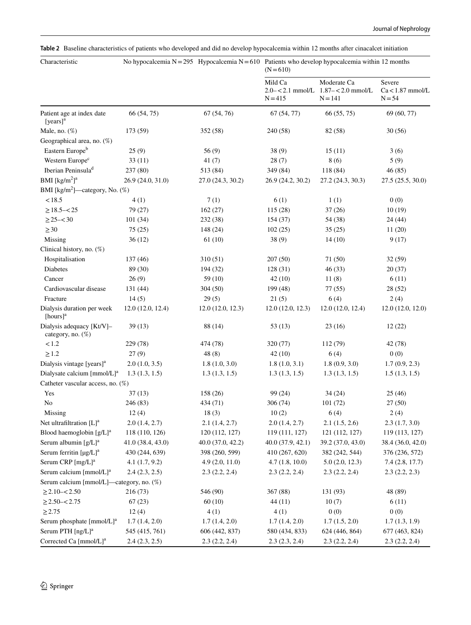<span id="page-5-0"></span>

| Table 2 Baseline characteristics of patients who developed and did no develop hypocalcemia within 12 months after cinacalcet initiation |  |
|-----------------------------------------------------------------------------------------------------------------------------------------|--|
|-----------------------------------------------------------------------------------------------------------------------------------------|--|

| Characteristic                                 |                   |                   | No hypocalcemia $N = 295$ Hypocalcemia $N = 610$ Patients who develop hypocalcemia within 12 months<br>$(N=610)$ |                                                                    |                                        |  |
|------------------------------------------------|-------------------|-------------------|------------------------------------------------------------------------------------------------------------------|--------------------------------------------------------------------|----------------------------------------|--|
|                                                |                   |                   | Mild Ca<br>$N = 415$                                                                                             | Moderate Ca<br>$2.0 - 2.1$ mmol/L $1.87 - 2.0$ mmol/L<br>$N = 141$ | Severe<br>$Ca<1.87$ mmol/L<br>$N = 54$ |  |
| Patient age at index date<br>$[years]^a$       | 66 (54, 75)       | 67 (54, 76)       | 67(54, 77)                                                                                                       | 66 (55, 75)                                                        | 69 (60, 77)                            |  |
| Male, no. $(\%)$                               | 173 (59)          | 352 (58)          | 240 (58)                                                                                                         | 82 (58)                                                            | 30(56)                                 |  |
| Geographical area, no. (%)                     |                   |                   |                                                                                                                  |                                                                    |                                        |  |
| Eastern Europe <sup>b</sup>                    | 25(9)             | 56(9)             | 38(9)                                                                                                            | 15(11)                                                             | 3(6)                                   |  |
| Western Europe <sup>c</sup>                    | 33(11)            | 41(7)             | 28(7)                                                                                                            | 8(6)                                                               | 5(9)                                   |  |
| Iberian Peninsula <sup>d</sup>                 | 237 (80)          | 513 (84)          | 349 (84)                                                                                                         | 118 (84)                                                           | 46(85)                                 |  |
| BMI [ $\text{kg/m}^2$ ] <sup>a</sup>           | 26.9 (24.0, 31.0) | 27.0 (24.3, 30.2) | 26.9 (24.2, 30.2)                                                                                                | 27.2 (24.3, 30.3)                                                  | 27.5 (25.5, 30.0)                      |  |
| BMI [kg/m <sup>2</sup> ]—category, No. $(\%)$  |                   |                   |                                                                                                                  |                                                                    |                                        |  |
| < 18.5                                         | 4(1)              | 7(1)              | 6(1)                                                                                                             | 1(1)                                                               | 0(0)                                   |  |
| $\geq$ 18.5-<25                                | 79 (27)           | 162(27)           | 115 (28)                                                                                                         | 37(26)                                                             | 10(19)                                 |  |
| $\geq$ 25- $<$ 30                              | 101(34)           | 232 (38)          | 154 (37)                                                                                                         | 54 (38)                                                            | 24 (44)                                |  |
| $\geq$ 30                                      | 75(25)            | 148 (24)          | 102(25)                                                                                                          | 35(25)                                                             | 11(20)                                 |  |
| Missing                                        | 36(12)            | 61(10)            | 38(9)                                                                                                            | 14(10)                                                             | 9(17)                                  |  |
| Clinical history, no. (%)                      |                   |                   |                                                                                                                  |                                                                    |                                        |  |
| Hospitalisation                                | 137(46)           | 310(51)           | 207(50)                                                                                                          | 71 (50)                                                            | 32(59)                                 |  |
| <b>Diabetes</b>                                | 89 (30)           | 194 (32)          | 128(31)                                                                                                          | 46(33)                                                             | 20(37)                                 |  |
| Cancer                                         | 26(9)             | 59(10)            | 42(10)                                                                                                           | 11(8)                                                              | 6(11)                                  |  |
| Cardiovascular disease                         | 131 (44)          | 304(50)           | 199 (48)                                                                                                         | 77(55)                                                             | 28 (52)                                |  |
| Fracture                                       | 14(5)             | 29(5)             | 21(5)                                                                                                            | 6(4)                                                               | 2(4)                                   |  |
| Dialysis duration per week<br>[hours] $a$      | 12.0(12.0, 12.4)  | 12.0(12.0, 12.3)  | 12.0(12.0, 12.3)                                                                                                 | 12.0(12.0, 12.4)                                                   | 12.0(12.0, 12.0)                       |  |
| Dialysis adequacy [Kt/V]-<br>category, no. (%) | 39(13)            | 88 (14)           | 53(13)                                                                                                           | 23(16)                                                             | 12(22)                                 |  |
| < 1.2                                          | 229 (78)          | 474 (78)          | 320 (77)                                                                                                         | 112 (79)                                                           | 42 (78)                                |  |
| $\geq 1.2$                                     | 27(9)             | 48(8)             | 42(10)                                                                                                           | 6(4)                                                               | 0(0)                                   |  |
| Dialysis vintage [years] <sup>a</sup>          | 2.0(1.0, 3.5)     | 1.8(1.0, 3.0)     | 1.8(1.0, 3.1)                                                                                                    | 1.8(0.9, 3.0)                                                      | 1.7(0.9, 2.3)                          |  |
| Dialysate calcium [mmol/L] <sup>a</sup>        | 1.3(1.3, 1.5)     | 1.3(1.3, 1.5)     | 1.3(1.3, 1.5)                                                                                                    | 1.3(1.3, 1.5)                                                      | 1.5(1.3, 1.5)                          |  |
| Catheter vascular access, no. (%)              |                   |                   |                                                                                                                  |                                                                    |                                        |  |
| Yes                                            | 37(13)            | 158 (26)          | 99 (24)                                                                                                          | 34(24)                                                             | 25(46)                                 |  |
| No                                             | 246 (83)          | 434 (71)          | 306(74)                                                                                                          | 101(72)                                                            | 27(50)                                 |  |
| Missing                                        | 12(4)             | 18(3)             | 10(2)                                                                                                            | 6(4)                                                               | 2(4)                                   |  |
| Net ultrafiltration $[L]$ <sup>a</sup>         | 2.0(1.4, 2.7)     | 2.1(1.4, 2.7)     | 2.0(1.4, 2.7)                                                                                                    | 2.1(1.5, 2.6)                                                      | 2.3(1.7, 3.0)                          |  |
| Blood haemoglobin $[g/L]^a$                    | 118 (110, 126)    | 120 (112, 127)    | 119 (111, 127)                                                                                                   | 121 (112, 127)                                                     | 119 (113, 127)                         |  |
| Serum albumin $[g/L]^a$                        | 41.0 (38.4, 43.0) | 40.0 (37.0, 42.2) | 40.0 (37.9, 42.1)                                                                                                | 39.2 (37.0, 43.0)                                                  | 38.4 (36.0, 42.0)                      |  |
| Serum ferritin $[\mu g/L]^a$                   | 430 (244, 639)    | 398 (260, 599)    | 410 (267, 620)                                                                                                   | 382 (242, 544)                                                     | 376 (236, 572)                         |  |
| Serum CRP [mg/L] <sup>a</sup>                  | 4.1(1.7, 9.2)     | 4.9(2.0, 11.0)    | 4.7(1.8, 10.0)                                                                                                   | 5.0(2.0, 12.3)                                                     | 7.4(2.8, 17.7)                         |  |
| Serum calcium [mmol/L] <sup>a</sup>            | 2.4(2.3, 2.5)     | 2.3(2.2, 2.4)     | 2.3(2.2, 2.4)                                                                                                    | 2.3(2.2, 2.4)                                                      | 2.3(2.2, 2.3)                          |  |
| Serum calcium [mmol/L]—category, no. (%)       |                   |                   |                                                                                                                  |                                                                    |                                        |  |
| $\geq$ 2.10–<2.50                              | 216 (73)          | 546 (90)          | 367 (88)                                                                                                         | 131 (93)                                                           | 48 (89)                                |  |
| $\geq$ 2.50-<2.75                              | 67(23)            | 60(10)            | 44(11)                                                                                                           | 10(7)                                                              | 6(11)                                  |  |
| $\geq$ 2.75                                    | 12(4)             | 4(1)              | 4(1)                                                                                                             | 0(0)                                                               | 0(0)                                   |  |
| Serum phosphate [mmol/L] <sup>a</sup>          | 1.7(1.4, 2.0)     | 1.7(1.4, 2.0)     | 1.7(1.4, 2.0)                                                                                                    | 1.7(1.5, 2.0)                                                      | 1.7(1.3, 1.9)                          |  |
| Serum PTH [ng/L] <sup>a</sup>                  | 545 (415, 761)    | 606 (442, 837)    | 580 (434, 833)                                                                                                   | 624 (446, 864)                                                     | 677 (463, 824)                         |  |
| Corrected Ca [mmol/L] <sup>a</sup>             | 2.4(2.3, 2.5)     | 2.3(2.2, 2.4)     | 2.3(2.3, 2.4)                                                                                                    | 2.3(2.2, 2.4)                                                      | 2.3(2.2, 2.4)                          |  |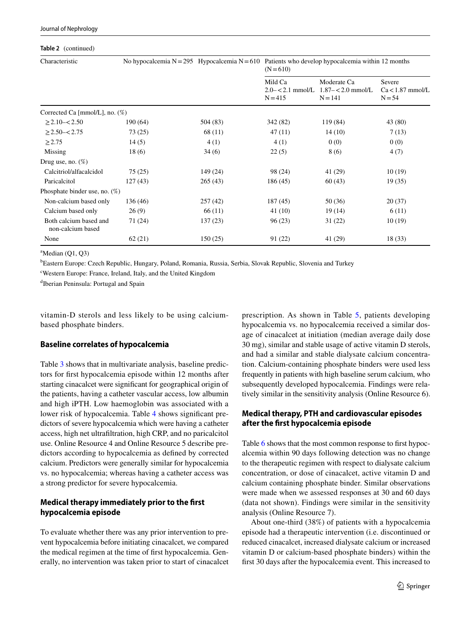#### **Table 2** (continued)

| Characteristic                              | No hypocalcemia $N = 295$ Hypocalcemia $N = 610$ |          | Patients who develop hypocalcemia within 12 months<br>$(N=610)$ |                                                 |                                        |  |
|---------------------------------------------|--------------------------------------------------|----------|-----------------------------------------------------------------|-------------------------------------------------|----------------------------------------|--|
|                                             |                                                  |          | Mild Ca<br>$2.0 - 2.1$ mmol/L<br>$N = 415$                      | Moderate Ca<br>$1.87 - 2.0$ mmol/L<br>$N = 141$ | Severe<br>$Ca<1.87$ mmol/L<br>$N = 54$ |  |
| Corrected Ca [mmol/L], no. $(\%)$           |                                                  |          |                                                                 |                                                 |                                        |  |
| $\geq$ 2.10– $<$ 2.50                       | 190 (64)                                         | 504 (83) | 342 (82)                                                        | 119 (84)                                        | 43 (80)                                |  |
| $\geq$ 2.50- $\lt$ 2.75                     | 73(25)                                           | 68 (11)  | 47(11)                                                          | 14(10)                                          | 7(13)                                  |  |
| $\geq$ 2.75                                 | 14(5)                                            | 4(1)     | 4(1)                                                            | 0(0)                                            | 0(0)                                   |  |
| Missing                                     | 18(6)                                            | 34(6)    | 22(5)                                                           | 8 (6)                                           | 4(7)                                   |  |
| Drug use, no. $(\%)$                        |                                                  |          |                                                                 |                                                 |                                        |  |
| Calcitriol/alfacalcidol                     | 75(25)                                           | 149 (24) | 98 (24)                                                         | 41 (29)                                         | 10(19)                                 |  |
| Paricalcitol                                | 127(43)                                          | 265(43)  | 186 (45)                                                        | 60(43)                                          | 19(35)                                 |  |
| Phosphate binder use, no. $(\%)$            |                                                  |          |                                                                 |                                                 |                                        |  |
| Non-calcium based only                      | 136 (46)                                         | 257(42)  | 187 (45)                                                        | 50 (36)                                         | 20 (37)                                |  |
| Calcium based only                          | 26(9)                                            | 66 (11)  | 41(10)                                                          | 19(14)                                          | 6(11)                                  |  |
| Both calcium based and<br>non-calcium based | 71 (24)                                          | 137 (23) | 96(23)                                                          | 31(22)                                          | 10(19)                                 |  |
| None                                        | 62(21)                                           | 150(25)  | 91 (22)                                                         | 41 (29)                                         | 18(33)                                 |  |

 ${}^{\text{a}}$ Median (Q1, Q3)

b Eastern Europe: Czech Republic, Hungary, Poland, Romania, Russia, Serbia, Slovak Republic, Slovenia and Turkey

c Western Europe: France, Ireland, Italy, and the United Kingdom

d Iberian Peninsula: Portugal and Spain

vitamin-D sterols and less likely to be using calciumbased phosphate binders.

## **Baseline correlates of hypocalcemia**

Table [3](#page-7-0) shows that in multivariate analysis, baseline predictors for frst hypocalcemia episode within 12 months after starting cinacalcet were signifcant for geographical origin of the patients, having a catheter vascular access, low albumin and high iPTH. Low haemoglobin was associated with a lower risk of hypocalcemia. Table [4](#page-8-0) shows signifcant predictors of severe hypocalcemia which were having a catheter access, high net ultrafltration, high CRP, and no paricalcitol use. Online Resource 4 and Online Resource 5 describe predictors according to hypocalcemia as defned by corrected calcium. Predictors were generally similar for hypocalcemia vs. no hypocalcemia; whereas having a catheter access was a strong predictor for severe hypocalcemia.

## **Medical therapy immediately prior to the frst hypocalcemia episode**

To evaluate whether there was any prior intervention to prevent hypocalcemia before initiating cinacalcet, we compared the medical regimen at the time of frst hypocalcemia. Generally, no intervention was taken prior to start of cinacalcet prescription. As shown in Table [5,](#page-9-0) patients developing hypocalcemia vs. no hypocalcemia received a similar dosage of cinacalcet at initiation (median average daily dose 30 mg), similar and stable usage of active vitamin D sterols, and had a similar and stable dialysate calcium concentration. Calcium-containing phosphate binders were used less frequently in patients with high baseline serum calcium, who subsequently developed hypocalcemia. Findings were relatively similar in the sensitivity analysis (Online Resource 6).

## **Medical therapy, PTH and cardiovascular episodes after the frst hypocalcemia episode**

Table [6](#page-10-0) shows that the most common response to first hypocalcemia within 90 days following detection was no change to the therapeutic regimen with respect to dialysate calcium concentration, or dose of cinacalcet, active vitamin D and calcium containing phosphate binder. Similar observations were made when we assessed responses at 30 and 60 days (data not shown). Findings were similar in the sensitivity analysis (Online Resource 7).

About one-third (38%) of patients with a hypocalcemia episode had a therapeutic intervention (i.e. discontinued or reduced cinacalcet, increased dialysate calcium or increased vitamin D or calcium-based phosphate binders) within the frst 30 days after the hypocalcemia event. This increased to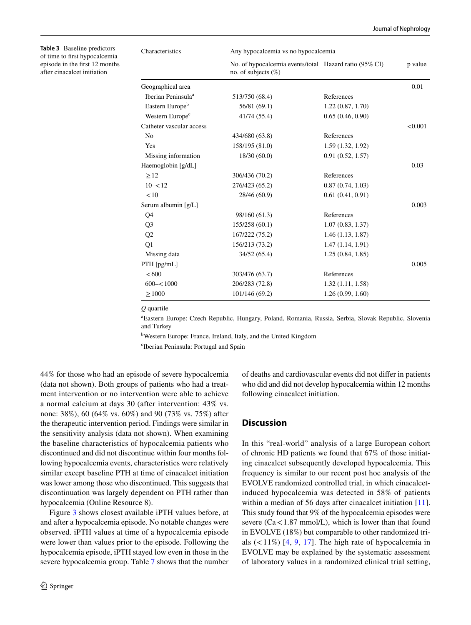<span id="page-7-0"></span>**Table 3** Baseline predictors of time to frst hypocalcemia episode in the frst 12 months after cinacalcet initiation

| Characteristics                | Any hypocalcemia vs no hypocalcemia                                              |                  |         |  |  |  |  |  |
|--------------------------------|----------------------------------------------------------------------------------|------------------|---------|--|--|--|--|--|
|                                | No. of hypocalcemia events/total Hazard ratio (95% CI)<br>no. of subjects $(\%)$ |                  | p value |  |  |  |  |  |
| Geographical area              |                                                                                  |                  | 0.01    |  |  |  |  |  |
| Iberian Peninsula <sup>a</sup> | 513/750 (68.4)                                                                   | References       |         |  |  |  |  |  |
| Eastern Europe <sup>b</sup>    | 56/81 (69.1)                                                                     | 1.22(0.87, 1.70) |         |  |  |  |  |  |
| Western Europe <sup>c</sup>    | 41/74 (55.4)                                                                     | 0.65(0.46, 0.90) |         |  |  |  |  |  |
| Catheter vascular access       |                                                                                  |                  | < 0.001 |  |  |  |  |  |
| N <sub>0</sub>                 | 434/680 (63.8)                                                                   | References       |         |  |  |  |  |  |
| Yes                            | 158/195 (81.0)                                                                   | 1.59(1.32, 1.92) |         |  |  |  |  |  |
| Missing information            | 18/30(60.0)                                                                      | 0.91(0.52, 1.57) |         |  |  |  |  |  |
| Haemoglobin [g/dL]             |                                                                                  |                  | 0.03    |  |  |  |  |  |
| $\geq$ 12                      | 306/436 (70.2)                                                                   | References       |         |  |  |  |  |  |
| $10 - 12$                      | 276/423 (65.2)                                                                   | 0.87(0.74, 1.03) |         |  |  |  |  |  |
| < 10                           | 28/46 (60.9)                                                                     | 0.61(0.41, 0.91) |         |  |  |  |  |  |
| Serum albumin [g/L]            |                                                                                  |                  | 0.003   |  |  |  |  |  |
| Q4                             | 98/160 (61.3)                                                                    | References       |         |  |  |  |  |  |
| Q <sub>3</sub>                 | 155/258 (60.1)                                                                   | 1.07(0.83, 1.37) |         |  |  |  |  |  |
| Q2                             | 167/222 (75.2)                                                                   | 1.46(1.13, 1.87) |         |  |  |  |  |  |
| Q1                             | 156/213 (73.2)                                                                   | 1.47(1.14, 1.91) |         |  |  |  |  |  |
| Missing data                   | 34/52 (65.4)                                                                     | 1.25(0.84, 1.85) |         |  |  |  |  |  |
| $PTH$ [pg/mL]                  |                                                                                  |                  | 0.005   |  |  |  |  |  |
| <600                           | 303/476 (63.7)                                                                   | References       |         |  |  |  |  |  |
| $600 - 1000$                   | 206/283 (72.8)                                                                   | 1.32(1.11, 1.58) |         |  |  |  |  |  |
| $\geq 1000$                    | 101/146 (69.2)                                                                   | 1.26(0.99, 1.60) |         |  |  |  |  |  |
|                                |                                                                                  |                  |         |  |  |  |  |  |

*Q* quartile

a Eastern Europe: Czech Republic, Hungary, Poland, Romania, Russia, Serbia, Slovak Republic, Slovenia and Turkey

b Western Europe: France, Ireland, Italy, and the United Kingdom

c Iberian Peninsula: Portugal and Spain

44% for those who had an episode of severe hypocalcemia (data not shown). Both groups of patients who had a treatment intervention or no intervention were able to achieve a normal calcium at days 30 (after intervention: 43% vs. none: 38%), 60 (64% vs. 60%) and 90 (73% vs. 75%) after the therapeutic intervention period. Findings were similar in the sensitivity analysis (data not shown). When examining the baseline characteristics of hypocalcemia patients who discontinued and did not discontinue within four months following hypocalcemia events, characteristics were relatively similar except baseline PTH at time of cinacalcet initiation was lower among those who discontinued. This suggests that discontinuation was largely dependent on PTH rather than hypocalcemia (Online Resource 8).

Figure [3](#page-11-0) shows closest available iPTH values before, at and after a hypocalcemia episode. No notable changes were observed. iPTH values at time of a hypocalcemia episode were lower than values prior to the episode. Following the hypocalcemia episode, iPTH stayed low even in those in the severe hypocalcemia group. Table [7](#page-11-1) shows that the number of deaths and cardiovascular events did not difer in patients who did and did not develop hypocalcemia within 12 months following cinacalcet initiation.

## **Discussion**

In this "real-world" analysis of a large European cohort of chronic HD patients we found that 67% of those initiating cinacalcet subsequently developed hypocalcemia. This frequency is similar to our recent post hoc analysis of the EVOLVE randomized controlled trial, in which cinacalcetinduced hypocalcemia was detected in 58% of patients within a median of 56 days after cinacalcet initiation [\[11](#page-13-3)]. This study found that 9% of the hypocalcemia episodes were severe  $(Ca < 1.87$  mmol/L), which is lower than that found in EVOLVE (18%) but comparable to other randomized trials  $($  < 11%) [\[4,](#page-12-3) [9,](#page-13-0) [17\]](#page-13-9). The high rate of hypocalcemia in EVOLVE may be explained by the systematic assessment of laboratory values in a randomized clinical trial setting,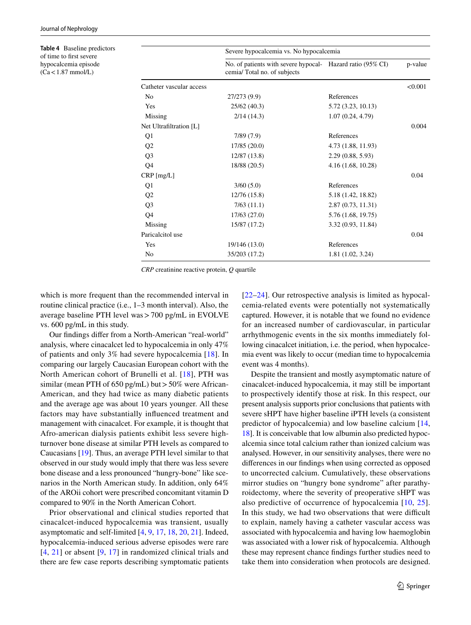<span id="page-8-0"></span>**Table 4** Baseline predictors of time to frst severe hypocalcemia episode  $(Ca < 1.87$  mmol/L)

|                          | Severe hypocalcemia vs. No hypocalcemia                                                   |                    |         |
|--------------------------|-------------------------------------------------------------------------------------------|--------------------|---------|
|                          | No. of patients with severe hypocal- Hazard ratio (95% CI)<br>cemia/Total no. of subjects |                    | p-value |
| Catheter vascular access |                                                                                           |                    | < 0.001 |
| No                       | 27/273 (9.9)                                                                              | References         |         |
| Yes                      | 25/62 (40.3)                                                                              | 5.72 (3.23, 10.13) |         |
| Missing                  | 2/14(14.3)                                                                                | 1.07(0.24, 4.79)   |         |
| Net Ultrafiltration [L]  |                                                                                           |                    | 0.004   |
| Q1                       | 7/89(7.9)                                                                                 | References         |         |
| Q <sub>2</sub>           | 17/85(20.0)                                                                               | 4.73 (1.88, 11.93) |         |
| Q <sub>3</sub>           | 12/87 (13.8)                                                                              | 2.29(0.88, 5.93)   |         |
| Q <sub>4</sub>           | 18/88 (20.5)                                                                              | 4.16(1.68, 10.28)  |         |
| CRP [mg/L]               |                                                                                           |                    | 0.04    |
| Q1                       | 3/60(5.0)                                                                                 | References         |         |
| Q <sub>2</sub>           | 12/76(15.8)                                                                               | 5.18 (1.42, 18.82) |         |
| Q <sub>3</sub>           | 7/63(11.1)                                                                                | 2.87(0.73, 11.31)  |         |
| Q4                       | 17/63 (27.0)                                                                              | 5.76 (1.68, 19.75) |         |
| Missing                  | 15/87 (17.2)                                                                              | 3.32 (0.93, 11.84) |         |
| Paricalcitol use         |                                                                                           |                    | 0.04    |
| Yes                      | 19/146 (13.0)                                                                             | References         |         |
| N <sub>0</sub>           | 35/203 (17.2)                                                                             | 1.81 (1.02, 3.24)  |         |

*CRP* creatinine reactive protein, *Q* quartile

which is more frequent than the recommended interval in routine clinical practice (i.e., 1–3 month interval). Also, the average baseline PTH level was>700 pg/mL in EVOLVE vs. 600 pg/mL in this study.

Our fndings difer from a North-American "real-world" analysis, where cinacalcet led to hypocalcemia in only 47% of patients and only 3% had severe hypocalcemia [\[18\]](#page-13-10). In comparing our largely Caucasian European cohort with the North American cohort of Brunelli et al. [[18](#page-13-10)], PTH was similar (mean PTH of 650 pg/mL) but  $>$  50% were African-American, and they had twice as many diabetic patients and the average age was about 10 years younger. All these factors may have substantially infuenced treatment and management with cinacalcet. For example, it is thought that Afro-american dialysis patients exhibit less severe highturnover bone disease at similar PTH levels as compared to Caucasians [\[19](#page-13-11)]. Thus, an average PTH level similar to that observed in our study would imply that there was less severe bone disease and a less pronounced "hungry-bone" like scenarios in the North American study. In addition, only 64% of the AROii cohort were prescribed concomitant vitamin D compared to 90% in the North American Cohort.

Prior observational and clinical studies reported that cinacalcet-induced hypocalcemia was transient, usually asymptomatic and self-limited [[4,](#page-12-3) [9](#page-13-0), [17](#page-13-9), [18,](#page-13-10) [20,](#page-13-12) [21](#page-13-13)]. Indeed, hypocalcemia-induced serious adverse episodes were rare [\[4,](#page-12-3) [21\]](#page-13-13) or absent [[9,](#page-13-0) [17\]](#page-13-9) in randomized clinical trials and there are few case reports describing symptomatic patients

[[22–](#page-13-14)[24](#page-13-15)]. Our retrospective analysis is limited as hypocalcemia-related events were potentially not systematically captured. However, it is notable that we found no evidence for an increased number of cardiovascular, in particular arrhythmogenic events in the six months immediately following cinacalcet initiation, i.e. the period, when hypocalcemia event was likely to occur (median time to hypocalcemia event was 4 months).

Despite the transient and mostly asymptomatic nature of cinacalcet-induced hypocalcemia, it may still be important to prospectively identify those at risk. In this respect, our present analysis supports prior conclusions that patients with severe sHPT have higher baseline iPTH levels (a consistent predictor of hypocalcemia) and low baseline calcium [[14,](#page-13-6) [18](#page-13-10)]. It is conceivable that low albumin also predicted hypocalcemia since total calcium rather than ionized calcium was analysed. However, in our sensitivity analyses, there were no diferences in our fndings when using corrected as opposed to uncorrected calcium. Cumulatively, these observations mirror studies on "hungry bone syndrome" after parathyroidectomy, where the severity of preoperative sHPT was also predictive of occurrence of hypocalcemia [[10,](#page-13-1) [25](#page-13-16)]. In this study, we had two observations that were difficult to explain, namely having a catheter vascular access was associated with hypocalcemia and having low haemoglobin was associated with a lower risk of hypocalcemia. Although these may represent chance fndings further studies need to take them into consideration when protocols are designed.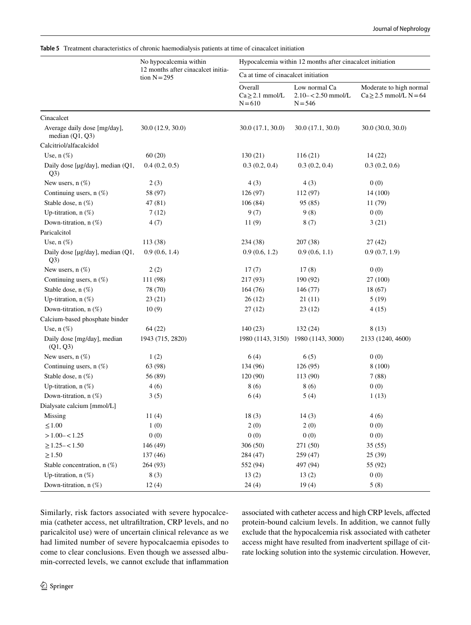<span id="page-9-0"></span>**Table 5** Treatment characteristics of chronic haemodialysis patients at time of cinacalcet initiation

|                                                 | No hypocalcemia within                               |                                              | Hypocalcemia within 12 months after cinacalcet initiation |                                                          |  |  |  |
|-------------------------------------------------|------------------------------------------------------|----------------------------------------------|-----------------------------------------------------------|----------------------------------------------------------|--|--|--|
|                                                 | 12 months after cinacalcet initia-<br>tion $N = 295$ | Ca at time of cinacalcet initiation          |                                                           |                                                          |  |  |  |
|                                                 |                                                      | Overall<br>$Ca \geq 2.1$ mmol/L<br>$N = 610$ | Low normal Ca<br>$2.10 - 2.50$ mmol/L<br>$N = 546$        | Moderate to high normal<br>$Ca \geq 2.5$ mmol/L $N = 64$ |  |  |  |
| Cinacalcet                                      |                                                      |                                              |                                                           |                                                          |  |  |  |
| Average daily dose [mg/day],<br>median (Q1, Q3) | 30.0 (12.9, 30.0)                                    | 30.0 (17.1, 30.0)                            | 30.0(17.1, 30.0)                                          | 30.0(30.0, 30.0)                                         |  |  |  |
| Calcitriol/alfacalcidol                         |                                                      |                                              |                                                           |                                                          |  |  |  |
| Use, $n$ $(\%)$                                 | 60(20)                                               | 130(21)                                      | 116(21)                                                   | 14(22)                                                   |  |  |  |
| Daily dose [µg/day], median (Q1,<br>Q3)         | 0.4(0.2, 0.5)                                        | 0.3(0.2, 0.4)                                | 0.3(0.2, 0.4)                                             | 0.3(0.2, 0.6)                                            |  |  |  |
| New users, $n$ $(\%)$                           | 2(3)                                                 | 4(3)                                         | 4(3)                                                      | 0(0)                                                     |  |  |  |
| Continuing users, $n$ (%)                       | 58 (97)                                              | 126 (97)                                     | 112 (97)                                                  | 14 (100)                                                 |  |  |  |
| Stable dose, n (%)                              | 47(81)                                               | 106(84)                                      | 95 (85)                                                   | 11 (79)                                                  |  |  |  |
| Up-titration, $n$ $(\%)$                        | 7(12)                                                | 9(7)                                         | 9(8)                                                      | 0(0)                                                     |  |  |  |
| Down-titration, n (%)                           | 4(7)                                                 | 11(9)                                        | 8(7)                                                      | 3(21)                                                    |  |  |  |
| Paricalcitol                                    |                                                      |                                              |                                                           |                                                          |  |  |  |
| Use, $n$ $(\%)$                                 | 113 (38)                                             | 234 (38)                                     | 207 (38)                                                  | 27(42)                                                   |  |  |  |
| Daily dose [µg/day], median (Q1,<br>Q3)         | 0.9(0.6, 1.4)                                        | 0.9(0.6, 1.2)                                | 0.9(0.6, 1.1)                                             | 0.9(0.7, 1.9)                                            |  |  |  |
| New users, $n(\%)$                              | 2(2)                                                 | 17(7)                                        | 17(8)                                                     | 0(0)                                                     |  |  |  |
| Continuing users, $n$ (%)                       | 111 (98)                                             | 217 (93)                                     | 190 (92)                                                  | 27 (100)                                                 |  |  |  |
| Stable dose, n (%)                              | 78 (70)                                              | 164(76)                                      | 146 (77)                                                  | 18 (67)                                                  |  |  |  |
| Up-titration, $n$ $(\%)$                        | 23(21)                                               | 26(12)                                       | 21(11)                                                    | 5(19)                                                    |  |  |  |
| Down-titration, $n$ (%)                         | 10(9)                                                | 27(12)                                       | 23(12)                                                    | 4(15)                                                    |  |  |  |
| Calcium-based phosphate binder                  |                                                      |                                              |                                                           |                                                          |  |  |  |
| Use, $n$ $(\%)$                                 | 64(22)                                               | 140(23)                                      | 132(24)                                                   | 8(13)                                                    |  |  |  |
| Daily dose [mg/day], median<br>(Q1, Q3)         | 1943 (715, 2820)                                     |                                              | 1980 (1143, 3150) 1980 (1143, 3000)                       | 2133 (1240, 4600)                                        |  |  |  |
| New users, $n$ $(\%)$                           | 1(2)                                                 | 6(4)                                         | 6(5)                                                      | 0(0)                                                     |  |  |  |
| Continuing users, $n$ $(\%)$                    | 63 (98)                                              | 134 (96)                                     | 126(95)                                                   | 8 (100)                                                  |  |  |  |
| Stable dose, n (%)                              | 56 (89)                                              | 120 (90)                                     | 113 (90)                                                  | 7(88)                                                    |  |  |  |
| Up-titration, $n$ (%)                           | 4(6)                                                 | 8(6)                                         | 8(6)                                                      | 0(0)                                                     |  |  |  |
| Down-titration, n (%)                           | 3(5)                                                 | 6(4)                                         | 5(4)                                                      | 1(13)                                                    |  |  |  |
| Dialysate calcium [mmol/L]                      |                                                      |                                              |                                                           |                                                          |  |  |  |
| Missing                                         | 11(4)                                                | 18(3)                                        | 14(3)                                                     | 4(6)                                                     |  |  |  |
| $\leq 1.00$                                     | 1(0)                                                 | 2(0)                                         | 2(0)                                                      | 0(0)                                                     |  |  |  |
| $>1.00 - 1.25$                                  | 0(0)                                                 | 0(0)                                         | 0(0)                                                      | 0(0)                                                     |  |  |  |
| $\geq$ 1.25 - < 1.50                            | 146 (49)                                             | 306(50)                                      | 271 (50)                                                  | 35(55)                                                   |  |  |  |
| $\geq$ 1.50                                     | 137 (46)                                             | 284 (47)                                     | 259 (47)                                                  | 25(39)                                                   |  |  |  |
| Stable concentration, $n$ (%)                   | 264 (93)                                             | 552 (94)                                     | 497 (94)                                                  | 55 (92)                                                  |  |  |  |
| Up-titration, $n$ $(\%)$                        | 8(3)                                                 | 13(2)                                        | 13(2)                                                     | 0(0)                                                     |  |  |  |
| Down-titration, $n$ (%)                         | 12(4)                                                | 24(4)                                        | 19(4)                                                     | 5(8)                                                     |  |  |  |

Similarly, risk factors associated with severe hypocalcemia (catheter access, net ultrafltration, CRP levels, and no paricalcitol use) were of uncertain clinical relevance as we had limited number of severe hypocalcaemia episodes to come to clear conclusions. Even though we assessed albumin-corrected levels, we cannot exclude that infammation associated with catheter access and high CRP levels, afected protein-bound calcium levels. In addition, we cannot fully exclude that the hypocalcemia risk associated with catheter access might have resulted from inadvertent spillage of citrate locking solution into the systemic circulation. However,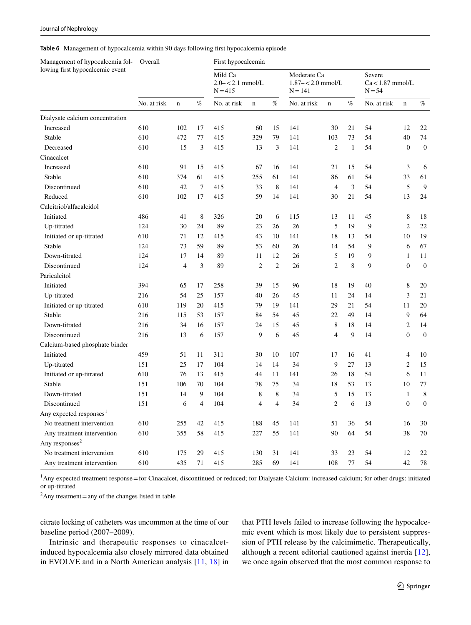<span id="page-10-0"></span>**Table 6** Management of hypocalcemia within 90 days following frst hypocalcemia episode

| Mild Ca<br>Severe<br>Moderate Ca<br>$2.0 - 2.1$ mmol/L<br>$Ca<1.87$ mmol/L<br>$1.87 - < 2.0$ mmol/L<br>$N = 415$<br>$N = 141$<br>$N = 54$<br>No. at risk<br>$\%$<br>$\%$<br>$\%$<br>No. at risk<br>No. at risk<br>No. at risk<br>$\mathbf n$<br>$\mathbf n$<br>$\mathbf n$<br>$\mathbf n$<br>Dialysate calcium concentration<br>610<br>102<br>415<br>60<br>15<br>141<br>30<br>21<br>54<br>12<br>Increased<br>17<br>Stable<br>610<br>472<br>329<br>79<br>141<br>103<br>73<br>54<br>40<br>77<br>415<br>$\overline{c}$<br>15<br>3<br>3<br>$\mathbf{1}$<br>54<br>$\boldsymbol{0}$<br>Decreased<br>610<br>415<br>13<br>141<br>Cinacalcet<br>610<br>91<br>67<br>141<br>21<br>15<br>54<br>3<br>Increased<br>15<br>415<br>16<br>610<br>255<br>61<br>54<br>33<br>Stable<br>374<br>61<br>415<br>61<br>141<br>86<br>5<br>42<br>$\tau$<br>33<br>8<br>$\overline{4}$<br>3<br>54<br>Discontinued<br>610<br>415<br>141<br>Reduced<br>59<br>30<br>21<br>54<br>13<br>610<br>102<br>17<br>415<br>14<br>141<br>Calcitriol/alfacalcidol<br>8<br>Initiated<br>486<br>41<br>8<br>326<br>20<br>6<br>115<br>13<br>11<br>45<br>5<br>124<br>30<br>89<br>23<br>26<br>26<br>19<br>9<br>$\overline{2}$<br>Up-titrated<br>24<br>71<br>43<br>54<br>Initiated or up-titrated<br>610<br>12<br>10<br>141<br>18<br>10<br>415<br>13<br>53<br>54<br>6<br>Stable<br>124<br>73<br>59<br>89<br>60<br>26<br>14<br>9 |                  | Overall<br>First hypocalcemia |  |  |  |  |  |  |  |  | Management of hypocalcemia fol- |                                 |
|----------------------------------------------------------------------------------------------------------------------------------------------------------------------------------------------------------------------------------------------------------------------------------------------------------------------------------------------------------------------------------------------------------------------------------------------------------------------------------------------------------------------------------------------------------------------------------------------------------------------------------------------------------------------------------------------------------------------------------------------------------------------------------------------------------------------------------------------------------------------------------------------------------------------------------------------------------------------------------------------------------------------------------------------------------------------------------------------------------------------------------------------------------------------------------------------------------------------------------------------------------------------------------------------------------------------------------------------------------------------------|------------------|-------------------------------|--|--|--|--|--|--|--|--|---------------------------------|---------------------------------|
|                                                                                                                                                                                                                                                                                                                                                                                                                                                                                                                                                                                                                                                                                                                                                                                                                                                                                                                                                                                                                                                                                                                                                                                                                                                                                                                                                                            |                  |                               |  |  |  |  |  |  |  |  |                                 | lowing first hypocalcemic event |
|                                                                                                                                                                                                                                                                                                                                                                                                                                                                                                                                                                                                                                                                                                                                                                                                                                                                                                                                                                                                                                                                                                                                                                                                                                                                                                                                                                            | $\%$             |                               |  |  |  |  |  |  |  |  |                                 |                                 |
|                                                                                                                                                                                                                                                                                                                                                                                                                                                                                                                                                                                                                                                                                                                                                                                                                                                                                                                                                                                                                                                                                                                                                                                                                                                                                                                                                                            |                  |                               |  |  |  |  |  |  |  |  |                                 |                                 |
|                                                                                                                                                                                                                                                                                                                                                                                                                                                                                                                                                                                                                                                                                                                                                                                                                                                                                                                                                                                                                                                                                                                                                                                                                                                                                                                                                                            | 22               |                               |  |  |  |  |  |  |  |  |                                 |                                 |
|                                                                                                                                                                                                                                                                                                                                                                                                                                                                                                                                                                                                                                                                                                                                                                                                                                                                                                                                                                                                                                                                                                                                                                                                                                                                                                                                                                            | 74               |                               |  |  |  |  |  |  |  |  |                                 |                                 |
|                                                                                                                                                                                                                                                                                                                                                                                                                                                                                                                                                                                                                                                                                                                                                                                                                                                                                                                                                                                                                                                                                                                                                                                                                                                                                                                                                                            | $\boldsymbol{0}$ |                               |  |  |  |  |  |  |  |  |                                 |                                 |
|                                                                                                                                                                                                                                                                                                                                                                                                                                                                                                                                                                                                                                                                                                                                                                                                                                                                                                                                                                                                                                                                                                                                                                                                                                                                                                                                                                            |                  |                               |  |  |  |  |  |  |  |  |                                 |                                 |
|                                                                                                                                                                                                                                                                                                                                                                                                                                                                                                                                                                                                                                                                                                                                                                                                                                                                                                                                                                                                                                                                                                                                                                                                                                                                                                                                                                            | 6                |                               |  |  |  |  |  |  |  |  |                                 |                                 |
|                                                                                                                                                                                                                                                                                                                                                                                                                                                                                                                                                                                                                                                                                                                                                                                                                                                                                                                                                                                                                                                                                                                                                                                                                                                                                                                                                                            | 61               |                               |  |  |  |  |  |  |  |  |                                 |                                 |
|                                                                                                                                                                                                                                                                                                                                                                                                                                                                                                                                                                                                                                                                                                                                                                                                                                                                                                                                                                                                                                                                                                                                                                                                                                                                                                                                                                            | 9                |                               |  |  |  |  |  |  |  |  |                                 |                                 |
|                                                                                                                                                                                                                                                                                                                                                                                                                                                                                                                                                                                                                                                                                                                                                                                                                                                                                                                                                                                                                                                                                                                                                                                                                                                                                                                                                                            | 24               |                               |  |  |  |  |  |  |  |  |                                 |                                 |
|                                                                                                                                                                                                                                                                                                                                                                                                                                                                                                                                                                                                                                                                                                                                                                                                                                                                                                                                                                                                                                                                                                                                                                                                                                                                                                                                                                            |                  |                               |  |  |  |  |  |  |  |  |                                 |                                 |
|                                                                                                                                                                                                                                                                                                                                                                                                                                                                                                                                                                                                                                                                                                                                                                                                                                                                                                                                                                                                                                                                                                                                                                                                                                                                                                                                                                            | 18               |                               |  |  |  |  |  |  |  |  |                                 |                                 |
|                                                                                                                                                                                                                                                                                                                                                                                                                                                                                                                                                                                                                                                                                                                                                                                                                                                                                                                                                                                                                                                                                                                                                                                                                                                                                                                                                                            | 22               |                               |  |  |  |  |  |  |  |  |                                 |                                 |
|                                                                                                                                                                                                                                                                                                                                                                                                                                                                                                                                                                                                                                                                                                                                                                                                                                                                                                                                                                                                                                                                                                                                                                                                                                                                                                                                                                            | 19               |                               |  |  |  |  |  |  |  |  |                                 |                                 |
|                                                                                                                                                                                                                                                                                                                                                                                                                                                                                                                                                                                                                                                                                                                                                                                                                                                                                                                                                                                                                                                                                                                                                                                                                                                                                                                                                                            | 67               |                               |  |  |  |  |  |  |  |  |                                 |                                 |
| 26<br>5<br>Down-titrated<br>124<br>17<br>14<br>89<br>11<br>12<br>19<br>9<br>$\mathbf{1}$                                                                                                                                                                                                                                                                                                                                                                                                                                                                                                                                                                                                                                                                                                                                                                                                                                                                                                                                                                                                                                                                                                                                                                                                                                                                                   | 11               |                               |  |  |  |  |  |  |  |  |                                 |                                 |
| $\sqrt{2}$<br>8<br>9<br>3<br>89<br>$\overline{c}$<br>26<br>$\overline{c}$<br>$\boldsymbol{0}$<br>Discontinued<br>124<br>4                                                                                                                                                                                                                                                                                                                                                                                                                                                                                                                                                                                                                                                                                                                                                                                                                                                                                                                                                                                                                                                                                                                                                                                                                                                  | $\mathbf{0}$     |                               |  |  |  |  |  |  |  |  |                                 |                                 |
| Paricalcitol                                                                                                                                                                                                                                                                                                                                                                                                                                                                                                                                                                                                                                                                                                                                                                                                                                                                                                                                                                                                                                                                                                                                                                                                                                                                                                                                                               |                  |                               |  |  |  |  |  |  |  |  |                                 |                                 |
| Initiated<br>19<br>40<br>394<br>65<br>17<br>258<br>39<br>15<br>96<br>18<br>8                                                                                                                                                                                                                                                                                                                                                                                                                                                                                                                                                                                                                                                                                                                                                                                                                                                                                                                                                                                                                                                                                                                                                                                                                                                                                               | 20               |                               |  |  |  |  |  |  |  |  |                                 |                                 |
| 3<br>Up-titrated<br>216<br>54<br>25<br>157<br>40<br>26<br>45<br>11<br>24<br>14                                                                                                                                                                                                                                                                                                                                                                                                                                                                                                                                                                                                                                                                                                                                                                                                                                                                                                                                                                                                                                                                                                                                                                                                                                                                                             | 21               |                               |  |  |  |  |  |  |  |  |                                 |                                 |
| 54<br>Initiated or up-titrated<br>610<br>119<br>20<br>415<br>79<br>19<br>141<br>29<br>21<br>11                                                                                                                                                                                                                                                                                                                                                                                                                                                                                                                                                                                                                                                                                                                                                                                                                                                                                                                                                                                                                                                                                                                                                                                                                                                                             | 20               |                               |  |  |  |  |  |  |  |  |                                 |                                 |
| Stable<br>22<br>49<br>9<br>216<br>115<br>53<br>157<br>84<br>54<br>45<br>14                                                                                                                                                                                                                                                                                                                                                                                                                                                                                                                                                                                                                                                                                                                                                                                                                                                                                                                                                                                                                                                                                                                                                                                                                                                                                                 | 64               |                               |  |  |  |  |  |  |  |  |                                 |                                 |
| 34<br>157<br>45<br>8<br>14<br>$\overline{c}$<br>Down-titrated<br>216<br>24<br>15<br>18<br>16                                                                                                                                                                                                                                                                                                                                                                                                                                                                                                                                                                                                                                                                                                                                                                                                                                                                                                                                                                                                                                                                                                                                                                                                                                                                               | 14               |                               |  |  |  |  |  |  |  |  |                                 |                                 |
| Discontinued<br>9<br>6<br>45<br>9<br>14<br>$\mathbf{0}$<br>216<br>13<br>6<br>157<br>4                                                                                                                                                                                                                                                                                                                                                                                                                                                                                                                                                                                                                                                                                                                                                                                                                                                                                                                                                                                                                                                                                                                                                                                                                                                                                      | $\boldsymbol{0}$ |                               |  |  |  |  |  |  |  |  |                                 |                                 |
| Calcium-based phosphate binder                                                                                                                                                                                                                                                                                                                                                                                                                                                                                                                                                                                                                                                                                                                                                                                                                                                                                                                                                                                                                                                                                                                                                                                                                                                                                                                                             |                  |                               |  |  |  |  |  |  |  |  |                                 |                                 |
| Initiated<br>459<br>51<br>10<br>107<br>16<br>11<br>311<br>30<br>17<br>41<br>4                                                                                                                                                                                                                                                                                                                                                                                                                                                                                                                                                                                                                                                                                                                                                                                                                                                                                                                                                                                                                                                                                                                                                                                                                                                                                              | 10               |                               |  |  |  |  |  |  |  |  |                                 |                                 |
| 151<br>25<br>104<br>9<br>27<br>13<br>$\overline{2}$<br>Up-titrated<br>17<br>14<br>14<br>34                                                                                                                                                                                                                                                                                                                                                                                                                                                                                                                                                                                                                                                                                                                                                                                                                                                                                                                                                                                                                                                                                                                                                                                                                                                                                 | 15               |                               |  |  |  |  |  |  |  |  |                                 |                                 |
| 610<br>76<br>11<br>141<br>26<br>54<br>6<br>Initiated or up-titrated<br>13<br>415<br>44<br>18                                                                                                                                                                                                                                                                                                                                                                                                                                                                                                                                                                                                                                                                                                                                                                                                                                                                                                                                                                                                                                                                                                                                                                                                                                                                               | 11               |                               |  |  |  |  |  |  |  |  |                                 |                                 |
| Stable<br>151<br>78<br>75<br>34<br>18<br>53<br>13<br>10<br>106<br>70<br>104                                                                                                                                                                                                                                                                                                                                                                                                                                                                                                                                                                                                                                                                                                                                                                                                                                                                                                                                                                                                                                                                                                                                                                                                                                                                                                | 77               |                               |  |  |  |  |  |  |  |  |                                 |                                 |
| 5<br>Down-titrated<br>151<br>8<br>8<br>15<br>14<br>9<br>104<br>34<br>13<br>$\mathbf{1}$                                                                                                                                                                                                                                                                                                                                                                                                                                                                                                                                                                                                                                                                                                                                                                                                                                                                                                                                                                                                                                                                                                                                                                                                                                                                                    | 8                |                               |  |  |  |  |  |  |  |  |                                 |                                 |
| $\overline{4}$<br>$\overline{4}$<br>4<br>34<br>$\mathfrak{2}$<br>6<br>13<br>$\boldsymbol{0}$<br>Discontinued<br>151<br>6<br>104                                                                                                                                                                                                                                                                                                                                                                                                                                                                                                                                                                                                                                                                                                                                                                                                                                                                                                                                                                                                                                                                                                                                                                                                                                            | $\boldsymbol{0}$ |                               |  |  |  |  |  |  |  |  |                                 |                                 |
| Any expected responses $^1$                                                                                                                                                                                                                                                                                                                                                                                                                                                                                                                                                                                                                                                                                                                                                                                                                                                                                                                                                                                                                                                                                                                                                                                                                                                                                                                                                |                  |                               |  |  |  |  |  |  |  |  |                                 |                                 |
| No treatment intervention<br>610<br>255<br>188<br>51<br>42<br>415<br>45<br>141<br>36<br>54<br>16                                                                                                                                                                                                                                                                                                                                                                                                                                                                                                                                                                                                                                                                                                                                                                                                                                                                                                                                                                                                                                                                                                                                                                                                                                                                           | 30               |                               |  |  |  |  |  |  |  |  |                                 |                                 |
| 355<br>55<br>64<br>54<br>Any treatment intervention<br>610<br>58<br>415<br>227<br>141<br>90<br>38                                                                                                                                                                                                                                                                                                                                                                                                                                                                                                                                                                                                                                                                                                                                                                                                                                                                                                                                                                                                                                                                                                                                                                                                                                                                          | 70               |                               |  |  |  |  |  |  |  |  |                                 |                                 |
| Any responses <sup>2</sup>                                                                                                                                                                                                                                                                                                                                                                                                                                                                                                                                                                                                                                                                                                                                                                                                                                                                                                                                                                                                                                                                                                                                                                                                                                                                                                                                                 |                  |                               |  |  |  |  |  |  |  |  |                                 |                                 |
| No treatment intervention<br>610<br>175<br>29<br>415<br>130<br>31<br>141<br>33<br>23<br>54<br>12                                                                                                                                                                                                                                                                                                                                                                                                                                                                                                                                                                                                                                                                                                                                                                                                                                                                                                                                                                                                                                                                                                                                                                                                                                                                           | 22               |                               |  |  |  |  |  |  |  |  |                                 |                                 |
| Any treatment intervention<br>610<br>435<br>69<br>141<br>42<br>415<br>285<br>108<br>77<br>54<br>71                                                                                                                                                                                                                                                                                                                                                                                                                                                                                                                                                                                                                                                                                                                                                                                                                                                                                                                                                                                                                                                                                                                                                                                                                                                                         | 78               |                               |  |  |  |  |  |  |  |  |                                 |                                 |

<sup>1</sup> Any expected treatment response = for Cinacalcet, discontinued or reduced; for Dialysate Calcium: increased calcium; for other drugs: initiated or up-titrated

 $2$ Any treatment = any of the changes listed in table

citrate locking of catheters was uncommon at the time of our baseline period (2007–2009).

Intrinsic and therapeutic responses to cinacalcetinduced hypocalcemia also closely mirrored data obtained in EVOLVE and in a North American analysis [[11](#page-13-3), [18\]](#page-13-10) in that PTH levels failed to increase following the hypocalcemic event which is most likely due to persistent suppression of PTH release by the calcimimetic. Therapeutically, although a recent editorial cautioned against inertia [[12](#page-13-4)], we once again observed that the most common response to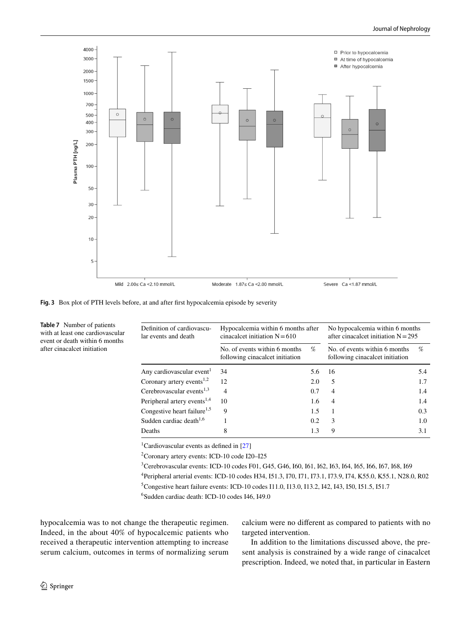

<span id="page-11-0"></span>**Fig. 3** Box plot of PTH levels before, at and after frst hypocalcemia episode by severity

| Definition of cardiovascu-<br>lar events and death | Hypocalcemia within 6 months after<br>cinacalcet initiation $N = 610$ | No hypocalcemia within 6 months<br>after cinacalcet initiation $N = 295$ |                                                                  |     |
|----------------------------------------------------|-----------------------------------------------------------------------|--------------------------------------------------------------------------|------------------------------------------------------------------|-----|
|                                                    | No. of events within 6 months<br>following cinacalcet initiation      | $\%$                                                                     | No. of events within 6 months<br>following cinacalcet initiation | %   |
| Any cardiovascular event <sup>1</sup>              | 34                                                                    | 5.6                                                                      | 16                                                               | 5.4 |
| Coronary artery events $1,2$                       | 12                                                                    | 2.0                                                                      | 5                                                                | 1.7 |
| Cerebrovascular events $^{1,3}$                    | 4                                                                     | 0.7                                                                      | 4                                                                | 1.4 |
| Peripheral artery events <sup>1,4</sup>            | 10                                                                    | 1.6                                                                      | 4                                                                | 1.4 |
| Congestive heart failure <sup>1,5</sup>            | 9                                                                     | 1.5                                                                      |                                                                  | 0.3 |
| Sudden cardiac death $1,6$                         |                                                                       | 0.2                                                                      | 3                                                                | 1.0 |
| Deaths                                             | 8                                                                     | 1.3                                                                      | 9                                                                | 3.1 |

<sup>1</sup>Cardiovascular events as defined in [[27](#page-13-17)]

2 Coronary artery events: ICD-10 code I20–I25

3 Cerebrovascular events: ICD-10 codes F01, G45, G46, I60, I61, I62, I63, I64, I65, I66, I67, I68, I69 4 Peripheral arterial events: ICD-10 codes H34, I51.3, I70, I71, I73.1, I73.9, I74, K55.0, K55.1, N28.0, R02 <sup>5</sup>Congestive heart failure events: ICD-10 codes I11.0, I13.0, I13.2, I42, I43, I50, I51.5, I51.7

6 Sudden cardiac death: ICD-10 codes I46, I49.0

hypocalcemia was to not change the therapeutic regimen. Indeed, in the about 40% of hypocalcemic patients who received a therapeutic intervention attempting to increase serum calcium, outcomes in terms of normalizing serum calcium were no diferent as compared to patients with no targeted intervention.

In addition to the limitations discussed above, the present analysis is constrained by a wide range of cinacalcet prescription. Indeed, we noted that, in particular in Eastern

after cinacalcet initiation

<span id="page-11-1"></span>**Table 7** Number of patients with at least one cardiovascular event or death within 6 months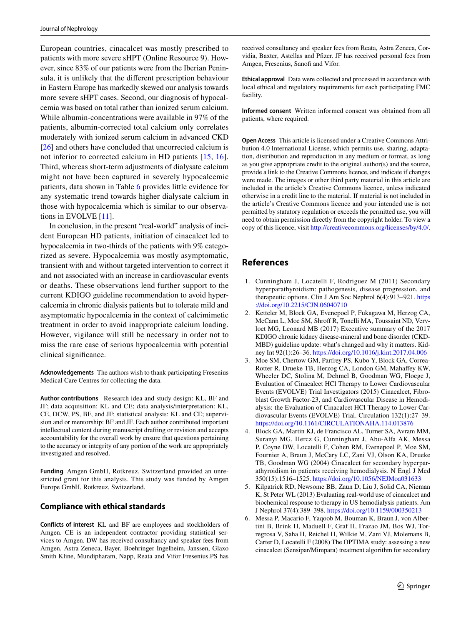European countries, cinacalcet was mostly prescribed to patients with more severe sHPT (Online Resource 9). However, since 83% of our patients were from the Iberian Peninsula, it is unlikely that the diferent prescription behaviour in Eastern Europe has markedly skewed our analysis towards more severe sHPT cases. Second, our diagnosis of hypocalcemia was based on total rather than ionized serum calcium. While albumin-concentrations were available in 97% of the patients, albumin-corrected total calcium only correlates moderately with ionized serum calcium in advanced CKD [\[26\]](#page-13-18) and others have concluded that uncorrected calcium is not inferior to corrected calcium in HD patients [[15](#page-13-7), [16](#page-13-8)]. Third, whereas short-term adjustments of dialysate calcium might not have been captured in severely hypocalcemic patients, data shown in Table [6](#page-10-0) provides little evidence for any systematic trend towards higher dialysate calcium in those with hypocalcemia which is similar to our observations in EVOLVE [\[11\]](#page-13-3).

In conclusion, in the present "real-world" analysis of incident European HD patients, initiation of cinacalcet led to hypocalcemia in two-thirds of the patients with 9% categorized as severe. Hypocalcemia was mostly asymptomatic, transient with and without targeted intervention to correct it and not associated with an increase in cardiovascular events or deaths. These observations lend further support to the current KDIGO guideline recommendation to avoid hypercalcemia in chronic dialysis patients but to tolerate mild and asymptomatic hypocalcemia in the context of calcimimetic treatment in order to avoid inappropriate calcium loading. However, vigilance will still be necessary in order not to miss the rare case of serious hypocalcemia with potential clinical signifcance.

**Acknowledgements** The authors wish to thank participating Fresenius Medical Care Centres for collecting the data.

**Author contributions** Research idea and study design: KL, BF and JF; data acquisition: KL and CE; data analysis/interpretation: KL, CE, DCW, PS, BF, and JF; statistical analysis: KL and CE; supervision and or mentorship: BF and JF. Each author contributed important intellectual content during manuscript drafting or revision and accepts accountability for the overall work by ensure that questions pertaining to the accuracy or integrity of any portion of the work are appropriately investigated and resolved.

**Funding** Amgen GmbH, Rotkreuz, Switzerland provided an unrestricted grant for this analysis. This study was funded by Amgen Europe GmbH, Rotkreuz, Switzerland.

## **Compliance with ethical standards**

**Conflicts of interest** KL and BF are employees and stockholders of Amgen. CE is an independent contractor providing statistical services to Amgen. DW has received consultancy and speaker fees from Amgen, Astra Zeneca, Bayer, Boehringer Ingelheim, Janssen, Glaxo Smith Kline, Mundipharam, Napp, Reata and Vifor Fresenius.PS has received consultancy and speaker fees from Reata, Astra Zeneca, Corvidia, Baxter, Astellas and Pfzer. JF has received personal fees from Amgen, Fresenius, Sanofi and Vifor.

**Ethical approval** Data were collected and processed in accordance with local ethical and regulatory requirements for each participating FMC facility.

**Informed consent** Written informed consent was obtained from all patients, where required.

**Open Access** This article is licensed under a Creative Commons Attribution 4.0 International License, which permits use, sharing, adaptation, distribution and reproduction in any medium or format, as long as you give appropriate credit to the original author(s) and the source, provide a link to the Creative Commons licence, and indicate if changes were made. The images or other third party material in this article are included in the article's Creative Commons licence, unless indicated otherwise in a credit line to the material. If material is not included in the article's Creative Commons licence and your intended use is not permitted by statutory regulation or exceeds the permitted use, you will need to obtain permission directly from the copyright holder. To view a copy of this licence, visit<http://creativecommons.org/licenses/by/4.0/>.

## **References**

- <span id="page-12-0"></span>1. Cunningham J, Locatelli F, Rodriguez M (2011) Secondary hyperparathyroidism: pathogenesis, disease progression, and therapeutic options. Clin J Am Soc Nephrol 6(4):913–921. [https](https://doi.org/10.2215/CJN.06040710) [://doi.org/10.2215/CJN.06040710](https://doi.org/10.2215/CJN.06040710)
- <span id="page-12-1"></span>2. Ketteler M, Block GA, Evenepoel P, Fukagawa M, Herzog CA, McCann L, Moe SM, Shroff R, Tonelli MA, Toussaint ND, Vervloet MG, Leonard MB (2017) Executive summary of the 2017 KDIGO chronic kidney disease-mineral and bone disorder (CKD-MBD) guideline update: what's changed and why it matters. Kidney Int 92(1):26–36. <https://doi.org/10.1016/j.kint.2017.04.006>
- <span id="page-12-2"></span>3. Moe SM, Chertow GM, Parfrey PS, Kubo Y, Block GA, Correa-Rotter R, Drueke TB, Herzog CA, London GM, Mahafey KW, Wheeler DC, Stolina M, Dehmel B, Goodman WG, Floege J, Evaluation of Cinacalcet HCl Therapy to Lower Cardiovascular Events (EVOLVE) Trial Investigators (2015) Cinacalcet, Fibroblast Growth Factor-23, and Cardiovascular Disease in Hemodialysis: the Evaluation of Cinacalcet HCl Therapy to Lower Cardiovascular Events (EVOLVE) Trial. Circulation 132(1):27–39. <https://doi.org/10.1161/CIRCULATIONAHA.114.013876>
- <span id="page-12-3"></span>4. Block GA, Martin KJ, de Francisco AL, Turner SA, Avram MM, Suranyi MG, Hercz G, Cunningham J, Abu-Alfa AK, Messa P, Coyne DW, Locatelli F, Cohen RM, Evenepoel P, Moe SM, Fournier A, Braun J, McCary LC, Zani VJ, Olson KA, Drueke TB, Goodman WG (2004) Cinacalcet for secondary hyperparathyroidism in patients receiving hemodialysis. N Engl J Med 350(15):1516–1525. <https://doi.org/10.1056/NEJMoa031633>
- 5. Kilpatrick RD, Newsome BB, Zaun D, Liu J, Solid CA, Nieman K, St Peter WL (2013) Evaluating real-world use of cinacalcet and biochemical response to therapy in US hemodialysis patients. Am J Nephrol 37(4):389–398. <https://doi.org/10.1159/000350213>
- 6. Messa P, Macario F, Yaqoob M, Bouman K, Braun J, von Albertini B, Brink H, Maduell F, Graf H, Frazao JM, Bos WJ, Torregrosa V, Saha H, Reichel H, Wilkie M, Zani VJ, Molemans B, Carter D, Locatelli F (2008) The OPTIMA study: assessing a new cinacalcet (Sensipar/Mimpara) treatment algorithm for secondary